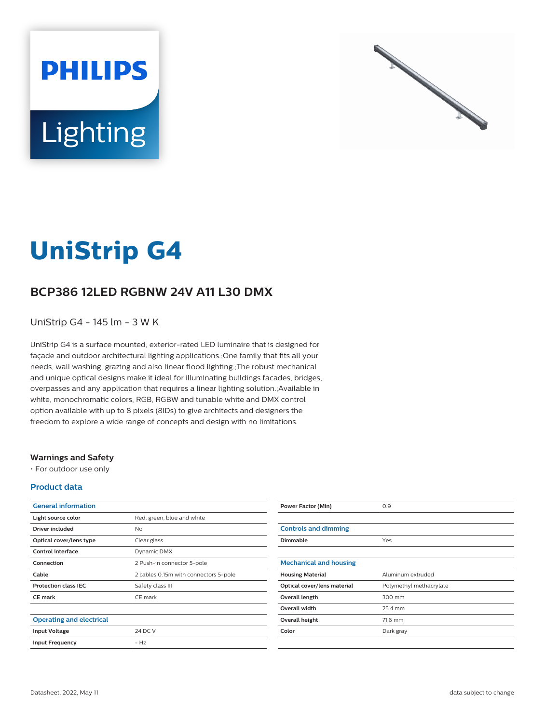



# **UniStrip G4**

## **BCP386 12LED RGBNW 24V A11 L30 DMX**

UniStrip G4 - 145 lm - 3 W K

UniStrip G4 is a surface mounted, exterior-rated LED luminaire that is designed for façade and outdoor architectural lighting applications.;One family that fits all your needs, wall washing, grazing and also linear flood lighting.;The robust mechanical and unique optical designs make it ideal for illuminating buildings facades, bridges, overpasses and any application that requires a linear lighting solution.;Available in white, monochromatic colors, RGB, RGBW and tunable white and DMX control option available with up to 8 pixels (8IDs) to give architects and designers the freedom to explore a wide range of concepts and design with no limitations.

#### **Warnings and Safety**

• For outdoor use only

#### **Product data**

| <b>General information</b>      |                                       |
|---------------------------------|---------------------------------------|
| Light source color              | Red, green, blue and white            |
| Driver included                 | <b>No</b>                             |
| Optical cover/lens type         | Clear glass                           |
| Control interface               | Dynamic DMX                           |
| Connection                      | 2 Push-in connector 5-pole            |
| Cable                           | 2 cables 0.15m with connectors 5-pole |
| <b>Protection class IEC</b>     | Safety class III                      |
| <b>CE</b> mark                  | CE mark                               |
|                                 |                                       |
| <b>Operating and electrical</b> |                                       |
| <b>Input Voltage</b>            | 24 DC V                               |
| <b>Input Frequency</b>          | $- Hz$                                |

| <b>Power Factor (Min)</b>     | 0.9                     |
|-------------------------------|-------------------------|
|                               |                         |
| <b>Controls and dimming</b>   |                         |
| <b>Dimmable</b>               | Yes                     |
|                               |                         |
| <b>Mechanical and housing</b> |                         |
| <b>Housing Material</b>       | Aluminum extruded       |
| Optical cover/lens material   | Polymethyl methacrylate |
| Overall length                | 300 mm                  |
| <b>Overall width</b>          | 25.4 mm                 |
| Overall height                | 71.6 mm                 |
| Color                         | Dark gray               |
|                               |                         |